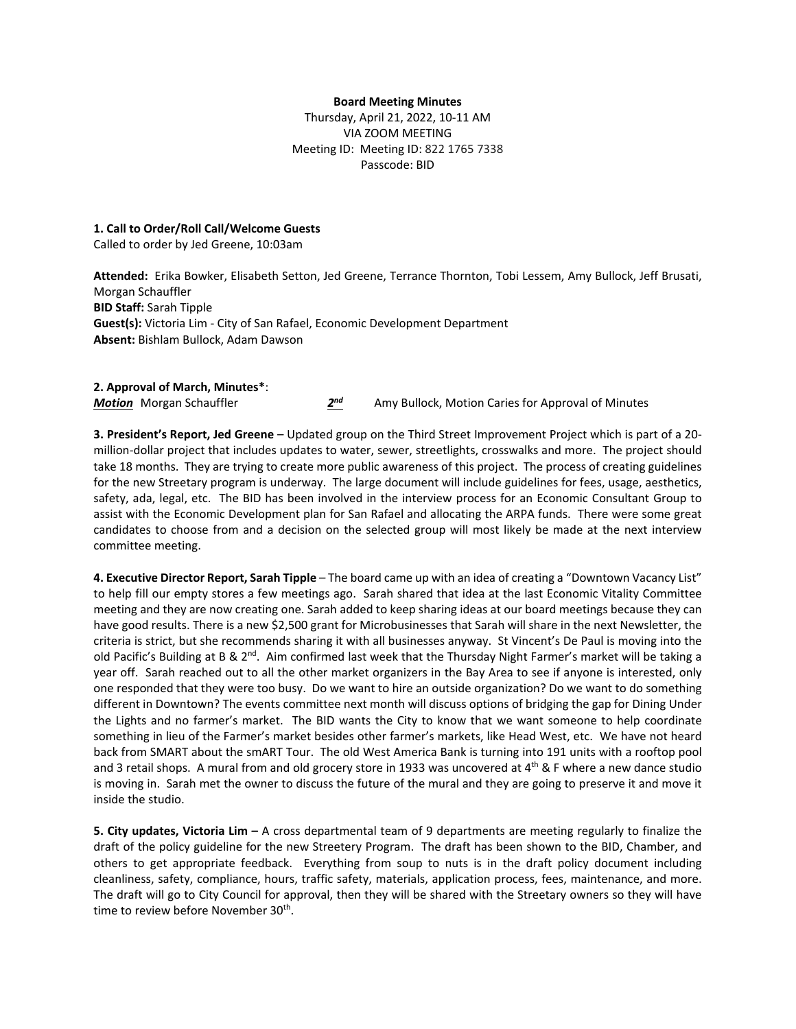## **Board Meeting Minutes**

Thursday, April 21, 2022, 10-11 AM VIA ZOOM MEETING Meeting ID: Meeting ID: 822 1765 7338 Passcode: BID

## **1. Call to Order/Roll Call/Welcome Guests**

Called to order by Jed Greene, 10:03am

**Attended:** Erika Bowker, Elisabeth Setton, Jed Greene, Terrance Thornton, Tobi Lessem, Amy Bullock, Jeff Brusati, Morgan Schauffler **BID Staff:** Sarah Tipple **Guest(s):** Victoria Lim - City of San Rafael, Economic Development Department **Absent:** Bishlam Bullock, Adam Dawson

## **2. Approval of March, Minutes\***:

*Motion* Morgan Schauffler *2nd* Amy Bullock, Motion Caries for Approval of Minutes

**3. President's Report, Jed Greene** – Updated group on the Third Street Improvement Project which is part of a 20 million-dollar project that includes updates to water, sewer, streetlights, crosswalks and more. The project should take 18 months. They are trying to create more public awareness of this project. The process of creating guidelines for the new Streetary program is underway. The large document will include guidelines for fees, usage, aesthetics, safety, ada, legal, etc. The BID has been involved in the interview process for an Economic Consultant Group to assist with the Economic Development plan for San Rafael and allocating the ARPA funds. There were some great candidates to choose from and a decision on the selected group will most likely be made at the next interview committee meeting.

**4. Executive Director Report, Sarah Tipple** – The board came up with an idea of creating a "Downtown Vacancy List" to help fill our empty stores a few meetings ago. Sarah shared that idea at the last Economic Vitality Committee meeting and they are now creating one. Sarah added to keep sharing ideas at our board meetings because they can have good results. There is a new \$2,500 grant for Microbusinesses that Sarah will share in the next Newsletter, the criteria is strict, but she recommends sharing it with all businesses anyway. St Vincent's De Paul is moving into the old Pacific's Building at B & 2<sup>nd</sup>. Aim confirmed last week that the Thursday Night Farmer's market will be taking a year off. Sarah reached out to all the other market organizers in the Bay Area to see if anyone is interested, only one responded that they were too busy. Do we want to hire an outside organization? Do we want to do something different in Downtown? The events committee next month will discuss options of bridging the gap for Dining Under the Lights and no farmer's market. The BID wants the City to know that we want someone to help coordinate something in lieu of the Farmer's market besides other farmer's markets, like Head West, etc. We have not heard back from SMART about the smART Tour. The old West America Bank is turning into 191 units with a rooftop pool and 3 retail shops. A mural from and old grocery store in 1933 was uncovered at  $4<sup>th</sup>$  & F where a new dance studio is moving in. Sarah met the owner to discuss the future of the mural and they are going to preserve it and move it inside the studio.

**5. City updates, Victoria Lim –** A cross departmental team of 9 departments are meeting regularly to finalize the draft of the policy guideline for the new Streetery Program. The draft has been shown to the BID, Chamber, and others to get appropriate feedback. Everything from soup to nuts is in the draft policy document including cleanliness, safety, compliance, hours, traffic safety, materials, application process, fees, maintenance, and more. The draft will go to City Council for approval, then they will be shared with the Streetary owners so they will have time to review before November 30<sup>th</sup>.